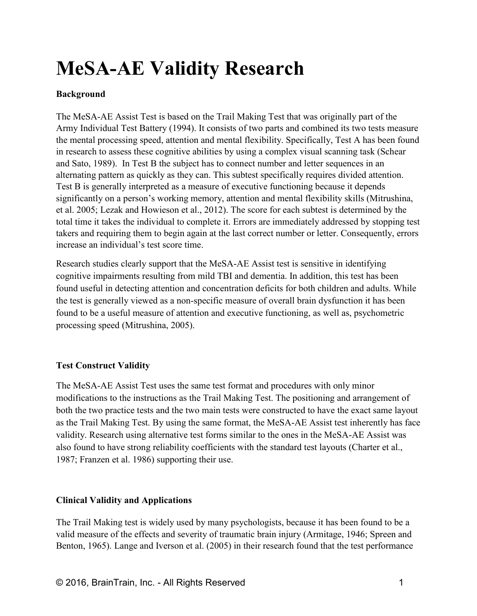# **MeSA-AE Validity Research**

## **Background**

The MeSA-AE Assist Test is based on the Trail Making Test that was originally part of the Army Individual Test Battery (1994). It consists of two parts and combined its two tests measure the mental processing speed, attention and mental flexibility. Specifically, Test A has been found in research to assess these cognitive abilities by using a complex visual scanning task (Schear and Sato, 1989). In Test B the subject has to connect number and letter sequences in an alternating pattern as quickly as they can. This subtest specifically requires divided attention. Test B is generally interpreted as a measure of executive functioning because it depends significantly on a person's working memory, attention and mental flexibility skills (Mitrushina, et al. 2005; Lezak and Howieson et al., 2012). The score for each subtest is determined by the total time it takes the individual to complete it. Errors are immediately addressed by stopping test takers and requiring them to begin again at the last correct number or letter. Consequently, errors increase an individual's test score time.

Research studies clearly support that the MeSA-AE Assist test is sensitive in identifying cognitive impairments resulting from mild TBI and dementia. In addition, this test has been found useful in detecting attention and concentration deficits for both children and adults. While the test is generally viewed as a non-specific measure of overall brain dysfunction it has been found to be a useful measure of attention and executive functioning, as well as, psychometric processing speed (Mitrushina, 2005).

## **Test Construct Validity**

The MeSA-AE Assist Test uses the same test format and procedures with only minor modifications to the instructions as the Trail Making Test. The positioning and arrangement of both the two practice tests and the two main tests were constructed to have the exact same layout as the Trail Making Test. By using the same format, the MeSA-AE Assist test inherently has face validity. Research using alternative test forms similar to the ones in the MeSA-AE Assist was also found to have strong reliability coefficients with the standard test layouts (Charter et al., 1987; Franzen et al. 1986) supporting their use.

## **Clinical Validity and Applications**

The Trail Making test is widely used by many psychologists, because it has been found to be a valid measure of the effects and severity of traumatic brain injury (Armitage, 1946; Spreen and Benton, 1965). Lange and Iverson et al. (2005) in their research found that the test performance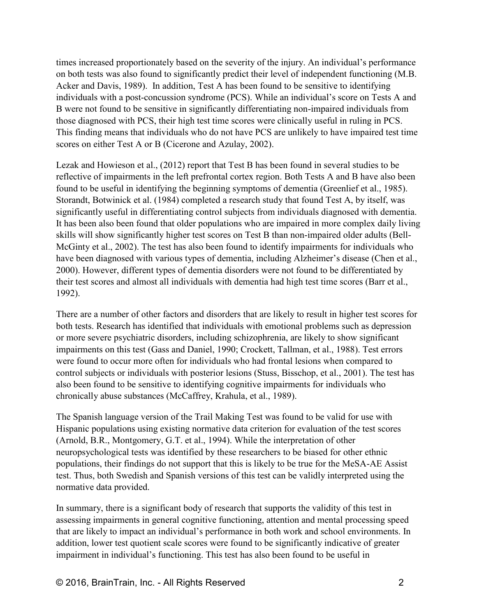times increased proportionately based on the severity of the injury. An individual's performance on both tests was also found to significantly predict their level of independent functioning (M.B. Acker and Davis, 1989). In addition, Test A has been found to be sensitive to identifying individuals with a post-concussion syndrome (PCS). While an individual's score on Tests A and B were not found to be sensitive in significantly differentiating non-impaired individuals from those diagnosed with PCS, their high test time scores were clinically useful in ruling in PCS. This finding means that individuals who do not have PCS are unlikely to have impaired test time scores on either Test A or B (Cicerone and Azulay, 2002).

Lezak and Howieson et al., (2012) report that Test B has been found in several studies to be reflective of impairments in the left prefrontal cortex region. Both Tests A and B have also been found to be useful in identifying the beginning symptoms of dementia (Greenlief et al., 1985). Storandt, Botwinick et al. (1984) completed a research study that found Test A, by itself, was significantly useful in differentiating control subjects from individuals diagnosed with dementia. It has been also been found that older populations who are impaired in more complex daily living skills will show significantly higher test scores on Test B than non-impaired older adults (Bell-McGinty et al., 2002). The test has also been found to identify impairments for individuals who have been diagnosed with various types of dementia, including Alzheimer's disease (Chen et al., 2000). However, different types of dementia disorders were not found to be differentiated by their test scores and almost all individuals with dementia had high test time scores (Barr et al., 1992).

There are a number of other factors and disorders that are likely to result in higher test scores for both tests. Research has identified that individuals with emotional problems such as depression or more severe psychiatric disorders, including schizophrenia, are likely to show significant impairments on this test (Gass and Daniel, 1990; Crockett, Tallman, et al., 1988). Test errors were found to occur more often for individuals who had frontal lesions when compared to control subjects or individuals with posterior lesions (Stuss, Bisschop, et al., 2001). The test has also been found to be sensitive to identifying cognitive impairments for individuals who chronically abuse substances (McCaffrey, Krahula, et al., 1989).

The Spanish language version of the Trail Making Test was found to be valid for use with Hispanic populations using existing normative data criterion for evaluation of the test scores (Arnold, B.R., Montgomery, G.T. et al., 1994). While the interpretation of other neuropsychological tests was identified by these researchers to be biased for other ethnic populations, their findings do not support that this is likely to be true for the MeSA-AE Assist test. Thus, both Swedish and Spanish versions of this test can be validly interpreted using the normative data provided.

In summary, there is a significant body of research that supports the validity of this test in assessing impairments in general cognitive functioning, attention and mental processing speed that are likely to impact an individual's performance in both work and school environments. In addition, lower test quotient scale scores were found to be significantly indicative of greater impairment in individual's functioning. This test has also been found to be useful in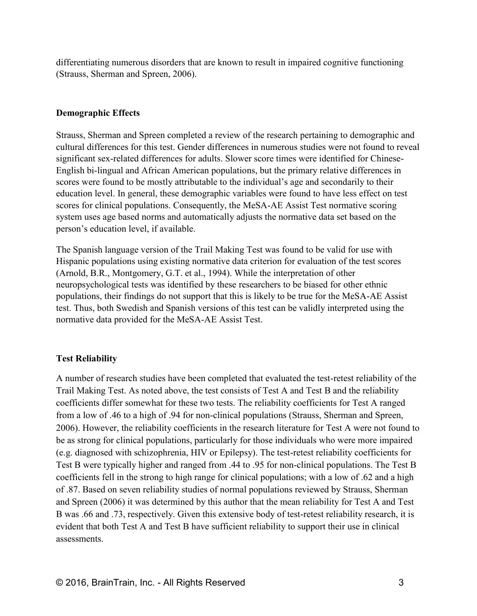differentiating numerous disorders that are known to result in impaired cognitive functioning (Strauss, Sherman and Spreen, 2006).

#### **Demographic Effects**

Strauss, Sherman and Spreen completed a review of the research pertaining to demographic and cultural differences for this test. Gender differences in numerous studies were not found to reveal significant sex-related differences for adults. Slower score times were identified for Chinese-English bi-lingual and African American populations, but the primary relative differences in scores were found to be mostly attributable to the individual's age and secondarily to their education level. In general, these demographic variables were found to have less effect on test scores for clinical populations. Consequently, the MeSA-AE Assist Test normative scoring system uses age based norms and automatically adjusts the normative data set based on the person's education level, if available.

The Spanish language version of the Trail Making Test was found to be valid for use with Hispanic populations using existing normative data criterion for evaluation of the test scores (Arnold, B.R., Montgomery, G.T. et al., 1994). While the interpretation of other neuropsychological tests was identified by these researchers to be biased for other ethnic populations, their findings do not support that this is likely to be true for the MeSA-AE Assist test. Thus, both Swedish and Spanish versions of this test can be validly interpreted using the normative data provided for the MeSA-AE Assist Test.

### **Test Reliability**

A number of research studies have been completed that evaluated the test-retest reliability of the Trail Making Test. As noted above, the test consists of Test A and Test B and the reliability coefficients differ somewhat for these two tests. The reliability coefficients for Test A ranged from a low of .46 to a high of .94 for non-clinical populations (Strauss, Sherman and Spreen, 2006). However, the reliability coefficients in the research literature for Test A were not found to be as strong for clinical populations, particularly for those individuals who were more impaired (e.g. diagnosed with schizophrenia, HIV or Epilepsy). The test-retest reliability coefficients for Test B were typically higher and ranged from .44 to .95 for non-clinical populations. The Test B coefficients fell in the strong to high range for clinical populations; with a low of .62 and a high of .87. Based on seven reliability studies of normal populations reviewed by Strauss, Sherman and Spreen (2006) it was determined by this author that the mean reliability for Test A and Test B was .66 and .73, respectively. Given this extensive body of test-retest reliability research, it is evident that both Test A and Test B have sufficient reliability to support their use in clinical assessments.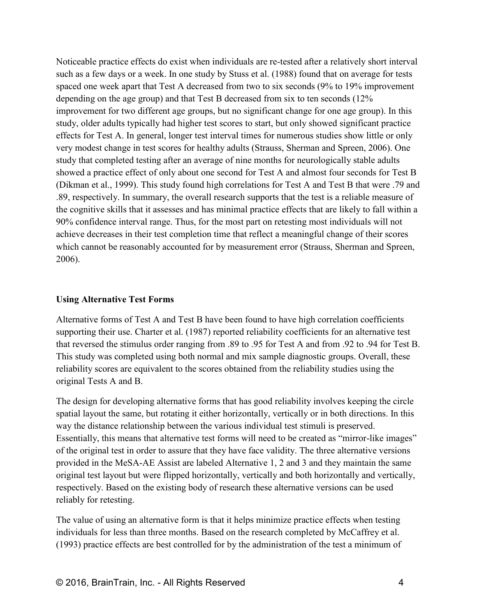Noticeable practice effects do exist when individuals are re-tested after a relatively short interval such as a few days or a week. In one study by Stuss et al. (1988) found that on average for tests spaced one week apart that Test A decreased from two to six seconds (9% to 19% improvement depending on the age group) and that Test B decreased from six to ten seconds (12% improvement for two different age groups, but no significant change for one age group). In this study, older adults typically had higher test scores to start, but only showed significant practice effects for Test A. In general, longer test interval times for numerous studies show little or only very modest change in test scores for healthy adults (Strauss, Sherman and Spreen, 2006). One study that completed testing after an average of nine months for neurologically stable adults showed a practice effect of only about one second for Test A and almost four seconds for Test B (Dikman et al., 1999). This study found high correlations for Test A and Test B that were .79 and .89, respectively. In summary, the overall research supports that the test is a reliable measure of the cognitive skills that it assesses and has minimal practice effects that are likely to fall within a 90% confidence interval range. Thus, for the most part on retesting most individuals will not achieve decreases in their test completion time that reflect a meaningful change of their scores which cannot be reasonably accounted for by measurement error (Strauss, Sherman and Spreen, 2006).

#### **Using Alternative Test Forms**

Alternative forms of Test A and Test B have been found to have high correlation coefficients supporting their use. Charter et al. (1987) reported reliability coefficients for an alternative test that reversed the stimulus order ranging from .89 to .95 for Test A and from .92 to .94 for Test B. This study was completed using both normal and mix sample diagnostic groups. Overall, these reliability scores are equivalent to the scores obtained from the reliability studies using the original Tests A and B.

The design for developing alternative forms that has good reliability involves keeping the circle spatial layout the same, but rotating it either horizontally, vertically or in both directions. In this way the distance relationship between the various individual test stimuli is preserved. Essentially, this means that alternative test forms will need to be created as "mirror-like images" of the original test in order to assure that they have face validity. The three alternative versions provided in the MeSA-AE Assist are labeled Alternative 1, 2 and 3 and they maintain the same original test layout but were flipped horizontally, vertically and both horizontally and vertically, respectively. Based on the existing body of research these alternative versions can be used reliably for retesting.

The value of using an alternative form is that it helps minimize practice effects when testing individuals for less than three months. Based on the research completed by McCaffrey et al. (1993) practice effects are best controlled for by the administration of the test a minimum of